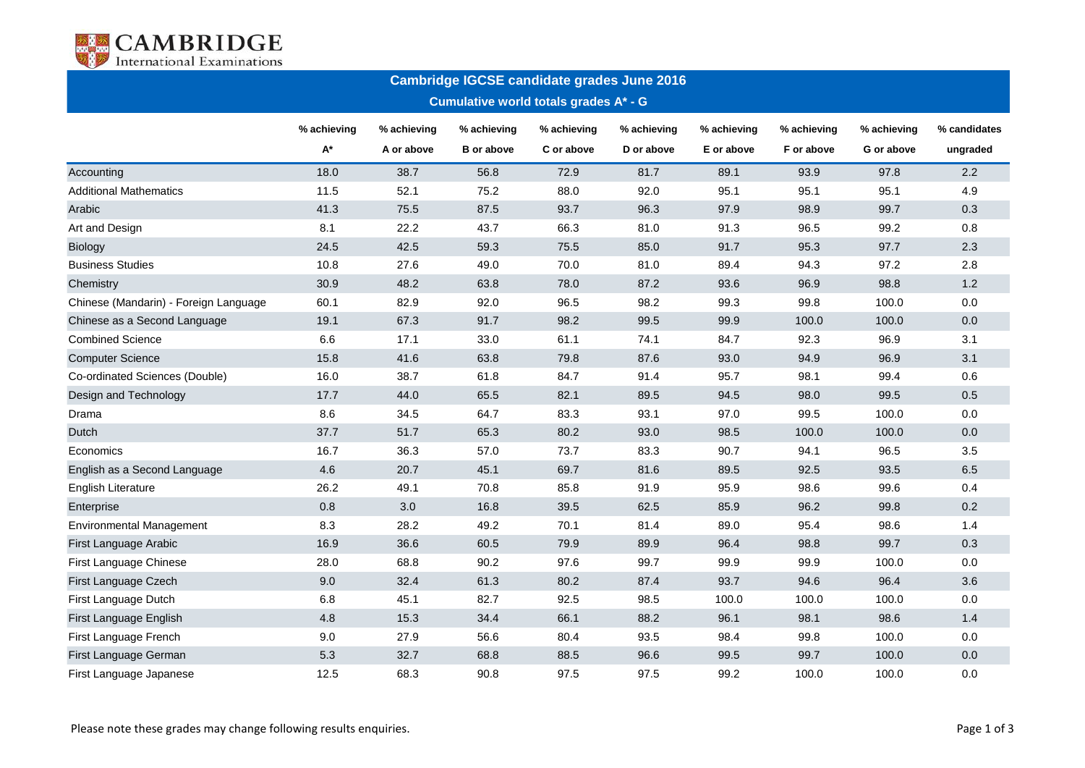

| <b>Cambridge IGCSE candidate grades June 2016</b><br>Cumulative world totals grades A* - G |      |            |                   |            |            |            |            |            |          |
|--------------------------------------------------------------------------------------------|------|------------|-------------------|------------|------------|------------|------------|------------|----------|
|                                                                                            |      |            |                   |            |            |            |            |            |          |
|                                                                                            | A*   | A or above | <b>B</b> or above | C or above | D or above | E or above | F or above | G or above | ungraded |
| Accounting                                                                                 | 18.0 | 38.7       | 56.8              | 72.9       | 81.7       | 89.1       | 93.9       | 97.8       | 2.2      |
| <b>Additional Mathematics</b>                                                              | 11.5 | 52.1       | 75.2              | 88.0       | 92.0       | 95.1       | 95.1       | 95.1       | 4.9      |
| Arabic                                                                                     | 41.3 | 75.5       | 87.5              | 93.7       | 96.3       | 97.9       | 98.9       | 99.7       | 0.3      |
| Art and Design                                                                             | 8.1  | 22.2       | 43.7              | 66.3       | 81.0       | 91.3       | 96.5       | 99.2       | 0.8      |
| <b>Biology</b>                                                                             | 24.5 | 42.5       | 59.3              | 75.5       | 85.0       | 91.7       | 95.3       | 97.7       | 2.3      |
| <b>Business Studies</b>                                                                    | 10.8 | 27.6       | 49.0              | 70.0       | 81.0       | 89.4       | 94.3       | 97.2       | 2.8      |
| Chemistry                                                                                  | 30.9 | 48.2       | 63.8              | 78.0       | 87.2       | 93.6       | 96.9       | 98.8       | 1.2      |
| Chinese (Mandarin) - Foreign Language                                                      | 60.1 | 82.9       | 92.0              | 96.5       | 98.2       | 99.3       | 99.8       | 100.0      | 0.0      |
| Chinese as a Second Language                                                               | 19.1 | 67.3       | 91.7              | 98.2       | 99.5       | 99.9       | 100.0      | 100.0      | 0.0      |
| <b>Combined Science</b>                                                                    | 6.6  | 17.1       | 33.0              | 61.1       | 74.1       | 84.7       | 92.3       | 96.9       | 3.1      |
| <b>Computer Science</b>                                                                    | 15.8 | 41.6       | 63.8              | 79.8       | 87.6       | 93.0       | 94.9       | 96.9       | 3.1      |
| Co-ordinated Sciences (Double)                                                             | 16.0 | 38.7       | 61.8              | 84.7       | 91.4       | 95.7       | 98.1       | 99.4       | 0.6      |
| Design and Technology                                                                      | 17.7 | 44.0       | 65.5              | 82.1       | 89.5       | 94.5       | 98.0       | 99.5       | 0.5      |
| Drama                                                                                      | 8.6  | 34.5       | 64.7              | 83.3       | 93.1       | 97.0       | 99.5       | 100.0      | 0.0      |
| Dutch                                                                                      | 37.7 | 51.7       | 65.3              | 80.2       | 93.0       | 98.5       | 100.0      | 100.0      | 0.0      |
| Economics                                                                                  | 16.7 | 36.3       | 57.0              | 73.7       | 83.3       | 90.7       | 94.1       | 96.5       | 3.5      |
| English as a Second Language                                                               | 4.6  | 20.7       | 45.1              | 69.7       | 81.6       | 89.5       | 92.5       | 93.5       | 6.5      |
| <b>English Literature</b>                                                                  | 26.2 | 49.1       | 70.8              | 85.8       | 91.9       | 95.9       | 98.6       | 99.6       | 0.4      |
| Enterprise                                                                                 | 0.8  | 3.0        | 16.8              | 39.5       | 62.5       | 85.9       | 96.2       | 99.8       | 0.2      |
| <b>Environmental Management</b>                                                            | 8.3  | 28.2       | 49.2              | 70.1       | 81.4       | 89.0       | 95.4       | 98.6       | 1.4      |
| First Language Arabic                                                                      | 16.9 | 36.6       | 60.5              | 79.9       | 89.9       | 96.4       | 98.8       | 99.7       | 0.3      |
| First Language Chinese                                                                     | 28.0 | 68.8       | 90.2              | 97.6       | 99.7       | 99.9       | 99.9       | 100.0      | 0.0      |
| First Language Czech                                                                       | 9.0  | 32.4       | 61.3              | 80.2       | 87.4       | 93.7       | 94.6       | 96.4       | 3.6      |
| First Language Dutch                                                                       | 6.8  | 45.1       | 82.7              | 92.5       | 98.5       | 100.0      | 100.0      | 100.0      | 0.0      |
| First Language English                                                                     | 4.8  | 15.3       | 34.4              | 66.1       | 88.2       | 96.1       | 98.1       | 98.6       | 1.4      |
| First Language French                                                                      | 9.0  | 27.9       | 56.6              | 80.4       | 93.5       | 98.4       | 99.8       | 100.0      | 0.0      |
| First Language German                                                                      | 5.3  | 32.7       | 68.8              | 88.5       | 96.6       | 99.5       | 99.7       | 100.0      | 0.0      |
| First Language Japanese                                                                    | 12.5 | 68.3       | 90.8              | 97.5       | 97.5       | 99.2       | 100.0      | 100.0      | 0.0      |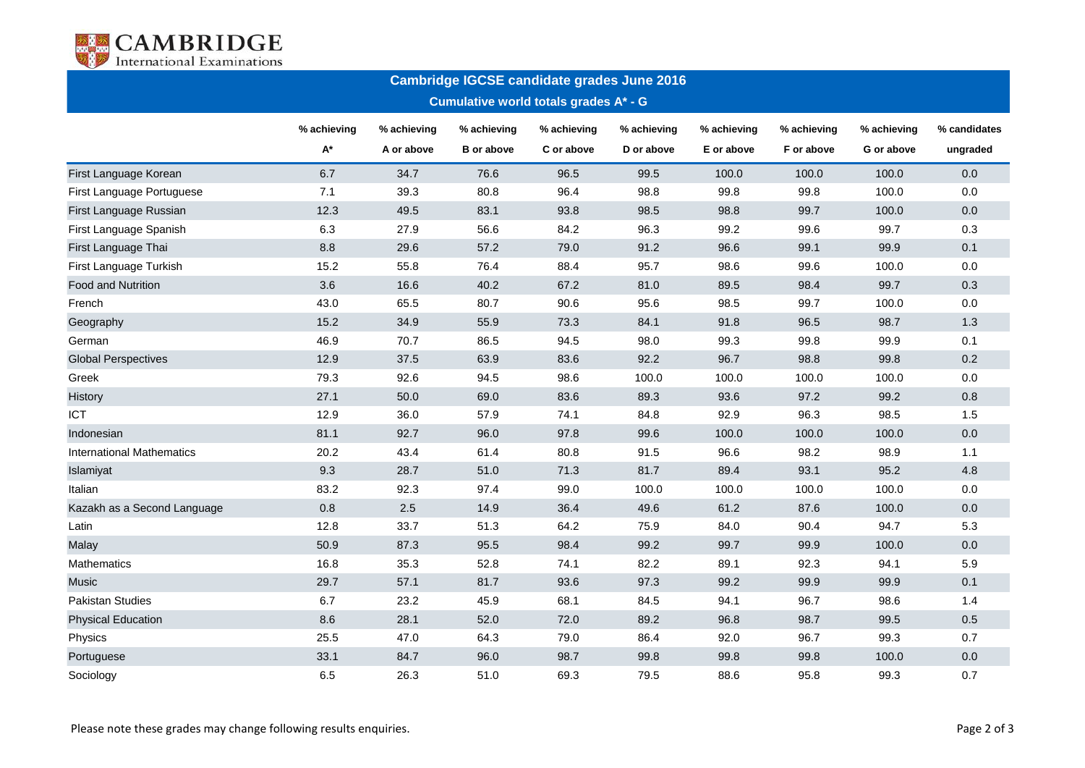

| <b>Cambridge IGCSE candidate grades June 2016</b> |             |             |                   |             |             |             |             |             |              |  |
|---------------------------------------------------|-------------|-------------|-------------------|-------------|-------------|-------------|-------------|-------------|--------------|--|
| Cumulative world totals grades A* - G             |             |             |                   |             |             |             |             |             |              |  |
|                                                   | % achieving | % achieving | % achieving       | % achieving | % achieving | % achieving | % achieving | % achieving | % candidates |  |
|                                                   | $A^*$       | A or above  | <b>B</b> or above | C or above  | D or above  | E or above  | F or above  | G or above  | ungraded     |  |
| First Language Korean                             | 6.7         | 34.7        | 76.6              | 96.5        | 99.5        | 100.0       | 100.0       | 100.0       | 0.0          |  |
| First Language Portuguese                         | 7.1         | 39.3        | 80.8              | 96.4        | 98.8        | 99.8        | 99.8        | 100.0       | 0.0          |  |
| First Language Russian                            | 12.3        | 49.5        | 83.1              | 93.8        | 98.5        | 98.8        | 99.7        | 100.0       | $0.0\,$      |  |
| First Language Spanish                            | 6.3         | 27.9        | 56.6              | 84.2        | 96.3        | 99.2        | 99.6        | 99.7        | 0.3          |  |
| First Language Thai                               | $8.8\,$     | 29.6        | 57.2              | 79.0        | 91.2        | 96.6        | 99.1        | 99.9        | 0.1          |  |
| First Language Turkish                            | 15.2        | 55.8        | 76.4              | 88.4        | 95.7        | 98.6        | 99.6        | 100.0       | 0.0          |  |
| Food and Nutrition                                | 3.6         | 16.6        | 40.2              | 67.2        | 81.0        | 89.5        | 98.4        | 99.7        | 0.3          |  |
| French                                            | 43.0        | 65.5        | 80.7              | 90.6        | 95.6        | 98.5        | 99.7        | 100.0       | 0.0          |  |
| Geography                                         | 15.2        | 34.9        | 55.9              | 73.3        | 84.1        | 91.8        | 96.5        | 98.7        | 1.3          |  |
| German                                            | 46.9        | 70.7        | 86.5              | 94.5        | 98.0        | 99.3        | 99.8        | 99.9        | 0.1          |  |
| <b>Global Perspectives</b>                        | 12.9        | 37.5        | 63.9              | 83.6        | 92.2        | 96.7        | 98.8        | 99.8        | 0.2          |  |
| Greek                                             | 79.3        | 92.6        | 94.5              | 98.6        | 100.0       | 100.0       | 100.0       | 100.0       | 0.0          |  |
| History                                           | 27.1        | 50.0        | 69.0              | 83.6        | 89.3        | 93.6        | 97.2        | 99.2        | $0.8\,$      |  |
| ICT                                               | 12.9        | 36.0        | 57.9              | 74.1        | 84.8        | 92.9        | 96.3        | 98.5        | 1.5          |  |
| Indonesian                                        | 81.1        | 92.7        | 96.0              | 97.8        | 99.6        | 100.0       | 100.0       | 100.0       | $0.0\,$      |  |
| <b>International Mathematics</b>                  | 20.2        | 43.4        | 61.4              | 80.8        | 91.5        | 96.6        | 98.2        | 98.9        | $1.1$        |  |
| Islamiyat                                         | 9.3         | 28.7        | 51.0              | 71.3        | 81.7        | 89.4        | 93.1        | 95.2        | 4.8          |  |
| Italian                                           | 83.2        | 92.3        | 97.4              | 99.0        | 100.0       | 100.0       | 100.0       | 100.0       | 0.0          |  |
| Kazakh as a Second Language                       | $0.8\,$     | $2.5\,$     | 14.9              | 36.4        | 49.6        | 61.2        | 87.6        | 100.0       | $0.0\,$      |  |
| Latin                                             | 12.8        | 33.7        | 51.3              | 64.2        | 75.9        | 84.0        | 90.4        | 94.7        | 5.3          |  |
| Malay                                             | 50.9        | 87.3        | 95.5              | 98.4        | 99.2        | 99.7        | 99.9        | 100.0       | $0.0\,$      |  |
| Mathematics                                       | 16.8        | 35.3        | 52.8              | 74.1        | 82.2        | 89.1        | 92.3        | 94.1        | 5.9          |  |
| Music                                             | 29.7        | 57.1        | 81.7              | 93.6        | 97.3        | 99.2        | 99.9        | 99.9        | 0.1          |  |
| <b>Pakistan Studies</b>                           | 6.7         | 23.2        | 45.9              | 68.1        | 84.5        | 94.1        | 96.7        | 98.6        | 1.4          |  |
| <b>Physical Education</b>                         | 8.6         | 28.1        | 52.0              | 72.0        | 89.2        | 96.8        | 98.7        | 99.5        | 0.5          |  |
| Physics                                           | 25.5        | 47.0        | 64.3              | 79.0        | 86.4        | 92.0        | 96.7        | 99.3        | 0.7          |  |
| Portuguese                                        | 33.1        | 84.7        | 96.0              | 98.7        | 99.8        | 99.8        | 99.8        | 100.0       | $0.0\,$      |  |
| Sociology                                         | 6.5         | 26.3        | 51.0              | 69.3        | 79.5        | 88.6        | 95.8        | 99.3        | 0.7          |  |